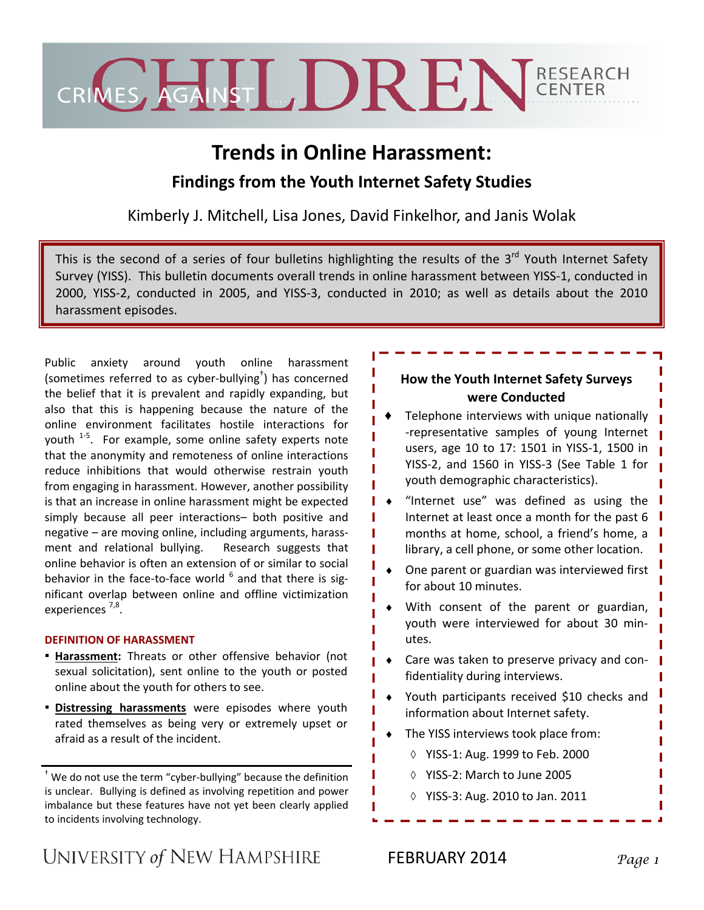

# **Trends in Online Harassment: Findings from the Youth Internet Safety Studies**

Kimberly J. Mitchell, Lisa Jones, David Finkelhor, and Janis Wolak

This is the second of a series of four bulletins highlighting the results of the 3<sup>rd</sup> Youth Internet Safety Survey (YISS). This bulletin documents overall trends in online harassment between YISS‐1, conducted in 2000, YISS‐2, conducted in 2005, and YISS‐3, conducted in 2010; as well as details about the 2010 harassment episodes.

Public anxiety around youth online harassment (sometimes referred to as cyber‐bullying† ) has concerned the belief that it is prevalent and rapidly expanding, but also that this is happening because the nature of the online environment facilitates hostile interactions for youth <sup>1-5</sup>. For example, some online safety experts note that the anonymity and remoteness of online interactions reduce inhibitions that would otherwise restrain youth from engaging in harassment. However, another possibility is that an increase in online harassment might be expected simply because all peer interactions– both positive and negative – are moving online, including arguments, harass‐ ment and relational bullying. Research suggests that online behavior is often an extension of or similar to social behavior in the face-to-face world  $^6$  and that there is significant overlap between online and offline victimization experiences<sup>7,8</sup>.

## **DEFINITION OF HARASSMENT**

- **Harassment:** Threats or other offensive behavior (not sexual solicitation), sent online to the youth or posted online about the youth for others to see.
- **Distressing harassments** were episodes where youth rated themselves as being very or extremely upset or afraid as a result of the incident.

† We do not use the term "cyber‐bullying" because the definition is unclear. Bullying is defined as involving repetition and power imbalance but these features have not yet been clearly applied to incidents involving technology.

## **How the Youth Internet Safety Surveys were Conducted**

Telephone interviews with unique nationally ‐representative samples of young Internet users, age 10 to 17: 1501 in YISS‐1, 1500 in YISS‐2, and 1560 in YISS‐3 (See Table 1 for youth demographic characteristics).

♦ "Internet use" was defined as using the Internet at least once a month for the past 6 months at home, school, a friend's home, a library, a cell phone, or some other location.

- ♦ One parent or guardian was interviewed first for about 10 minutes.
- With consent of the parent or guardian, youth were interviewed for about 30 min‐ utes.
- Care was taken to preserve privacy and confidentiality during interviews.
- ♦ Youth participants received \$10 checks and information about Internet safety.
- The YISS interviews took place from:
	- ◊ YISS‐1: Aug. 1999 to Feb. 2000
	- ◊ YISS‐2: March to June 2005
	- ◊ YISS‐3: Aug. 2010 to Jan. 2011

UNIVERSITY of NEW HAMPSHIRE

FEBRUARY 2014 *Page 1*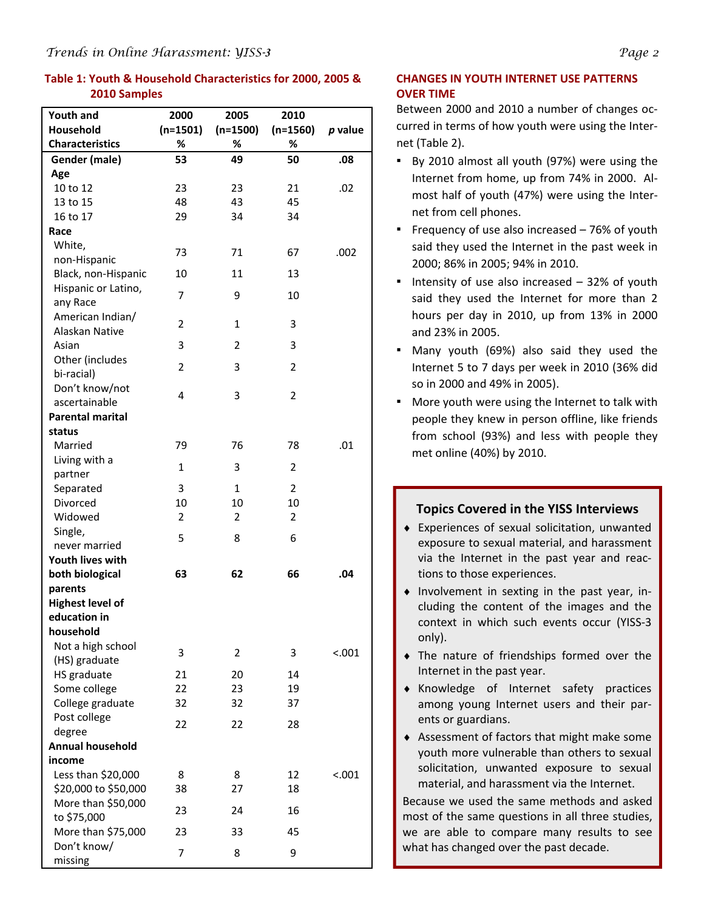## **Table 1: Youth & Household Characteristics for 2000, 2005 & 2010 Samples**

| Youth and               | 2000           | 2005           | 2010           |         |
|-------------------------|----------------|----------------|----------------|---------|
| <b>Household</b>        | $(n=1501)$     | $(n=1500)$     | $(n=1560)$     | p value |
| <b>Characteristics</b>  | %              | %              | %              |         |
| Gender (male)           | 53             | 49             | 50             | .08     |
| Age                     |                |                |                |         |
| 10 to 12                | 23             | 23             | 21             | .02     |
| 13 to 15                | 48             | 43             | 45             |         |
| 16 to 17                | 29             | 34             | 34             |         |
| Race                    |                |                |                |         |
| White,                  | 73             | 71             | 67             | .002    |
| non-Hispanic            |                |                |                |         |
| Black, non-Hispanic     | 10             | 11             | 13             |         |
| Hispanic or Latino,     | 7              | 9              | 10             |         |
| any Race                |                |                |                |         |
| American Indian/        | $\overline{2}$ | 1              | 3              |         |
| Alaskan Native          |                |                |                |         |
| Asian                   | 3              | 2              | 3              |         |
| Other (includes         | $\overline{2}$ | 3              | $\overline{2}$ |         |
| bi-racial)              |                |                |                |         |
| Don't know/not          | 4              | 3              | $\overline{2}$ |         |
| ascertainable           |                |                |                |         |
| Parental marital        |                |                |                |         |
| status<br>Married       | 79             | 76             | 78             | .01     |
| Living with a           |                |                |                |         |
| partner                 | $\mathbf{1}$   | 3              | $\overline{2}$ |         |
| Separated               | 3              | $\mathbf{1}$   | $\overline{2}$ |         |
| Divorced                | 10             | 10             | 10             |         |
| Widowed                 | 2              | $\overline{2}$ | $\overline{2}$ |         |
| Single,                 |                |                |                |         |
| never married           | 5              | 8              | 6              |         |
| Youth lives with        |                |                |                |         |
| both biological         | 63             | 62             | 66             | .04     |
| parents                 |                |                |                |         |
| <b>Highest level of</b> |                |                |                |         |
| education in            |                |                |                |         |
| household               |                |                |                |         |
| Not a high school       | 3              | 2              | 3              | < .001  |
| (HS) graduate           |                |                |                |         |
| HS graduate             | 21             | 20             | 14             |         |
| Some college            | 22             | 23             | 19             |         |
| College graduate        | 32             | 32             | 37             |         |
| Post college            | 22             | 22             | 28             |         |
| degree                  |                |                |                |         |
| <b>Annual household</b> |                |                |                |         |
| income                  |                |                |                |         |
| Less than \$20,000      | 8              | 8              | 12             | < .001  |
| \$20,000 to \$50,000    | 38             | 27             | 18             |         |
| More than \$50,000      | 23             | 24             | 16             |         |
| to \$75,000             |                |                |                |         |
| More than \$75,000      | 23             | 33             | 45             |         |
| Don't know/             | 7              | 8              | 9              |         |
| missing                 |                |                |                |         |

## **CHANGES IN YOUTH INTERNET USE PATTERNS OVER TIME**

Between 2000 and 2010 a number of changes oc‐ curred in terms of how youth were using the Inter‐ net (Table 2).

- By 2010 almost all youth (97%) were using the Internet from home, up from 74% in 2000. Al‐ most half of youth (47%) were using the Inter‐ net from cell phones.
- **•** Frequency of use also increased 76% of youth said they used the Internet in the past week in 2000; 86% in 2005; 94% in 2010.
- **.** Intensity of use also increased  $-32\%$  of youth said they used the Internet for more than 2 hours per day in 2010, up from 13% in 2000 and 23% in 2005.
- Many youth (69%) also said they used the Internet 5 to 7 days per week in 2010 (36% did so in 2000 and 49% in 2005).
- More youth were using the Internet to talk with people they knew in person offline, like friends from school (93%) and less with people they met online (40%) by 2010.

|        | <b>Topics Covered in the YISS Interviews</b><br>Experiences of sexual solicitation, unwanted<br>exposure to sexual material, and harassment<br>via the Internet in the past year and reac-<br>tions to those experiences. |
|--------|---------------------------------------------------------------------------------------------------------------------------------------------------------------------------------------------------------------------------|
| only). | Involvement in sexting in the past year, in-<br>cluding the content of the images and the<br>context in which such events occur (YISS-3                                                                                   |
|        | The nature of friendships formed over the<br>Internet in the past year.                                                                                                                                                   |
|        | Knowledge of Internet safety practices<br>among young Internet users and their par-<br>ents or guardians.                                                                                                                 |
|        | Assessment of factors that might make some<br>youth more vulnerable than others to sexual<br>solicitation, unwanted exposure to sexual<br>material, and harassment via the Internet.                                      |
|        | Because we used the same methods and asked<br>most of the same questions in all three studies,<br>we are able to compare many results to see<br>what has changed over the past decade.                                    |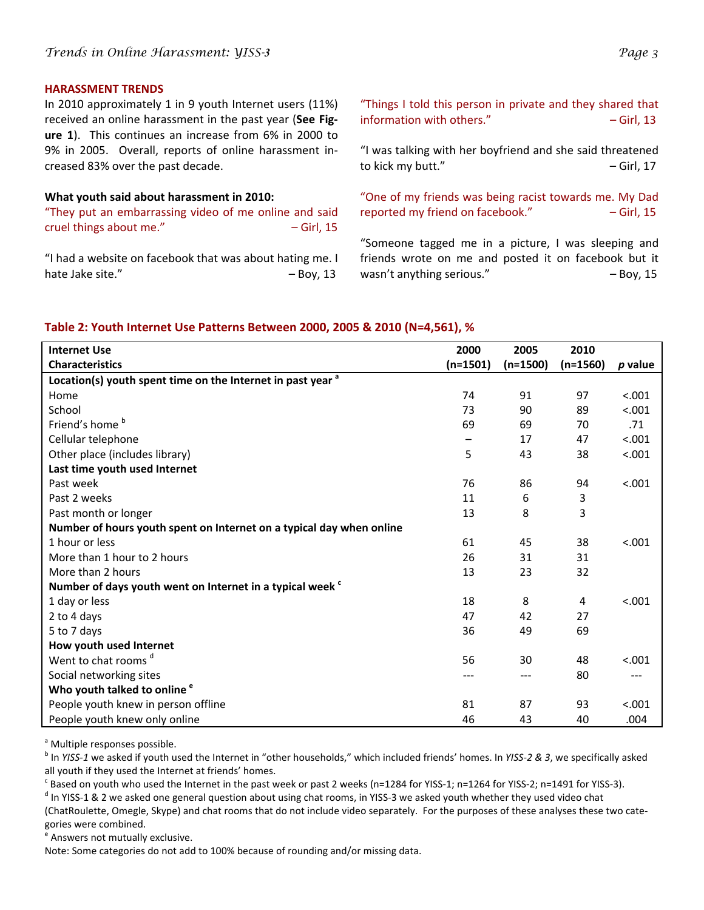#### **HARASSMENT TRENDS**

In 2010 approximately 1 in 9 youth Internet users (11%) received an online harassment in the past year (**See Fig‐ ure 1**). This continues an increase from 6% in 2000 to 9% in 2005. Overall, reports of online harassment increased 83% over the past decade.

## **What youth said about harassment in 2010:**

"They put an embarrassing video of me online and said cruel things about me." 
— Girl, 15

"I had a website on facebook that was about hating me. I hate Jake site."  $-$  Boy, 13

"Things I told this person in private and they shared that  $information with others."$   $-$  Girl, 13

"I was talking with her boyfriend and she said threatened to kick my butt." $-$  Girl, 17

"One of my friends was being racist towards me. My Dad reported my friend on facebook."  $-$  Girl, 15

"Someone tagged me in a picture, I was sleeping and friends wrote on me and posted it on facebook but it wasn't anything serious."  $-$  Boy, 15

## **Table 2: Youth Internet Use Patterns Between 2000, 2005 & 2010 (N=4,561), %**

| <b>Internet Use</b>                                                    | 2000       | 2005       | 2010       |           |
|------------------------------------------------------------------------|------------|------------|------------|-----------|
| <b>Characteristics</b>                                                 | $(n=1501)$ | $(n=1500)$ | $(n=1560)$ | $p$ value |
| Location(s) youth spent time on the Internet in past year <sup>a</sup> |            |            |            |           |
| Home                                                                   | 74         | 91         | 97         | < .001    |
| School                                                                 | 73         | 90         | 89         | < .001    |
| Friend's home b                                                        | 69         | 69         | 70         | .71       |
| Cellular telephone                                                     |            | 17         | 47         | < .001    |
| Other place (includes library)                                         | 5          | 43         | 38         | < .001    |
| Last time youth used Internet                                          |            |            |            |           |
| Past week                                                              | 76         | 86         | 94         | < .001    |
| Past 2 weeks                                                           | 11         | 6          | 3          |           |
| Past month or longer                                                   | 13         | 8          | 3          |           |
| Number of hours youth spent on Internet on a typical day when online   |            |            |            |           |
| 1 hour or less                                                         | 61         | 45         | 38         | < .001    |
| More than 1 hour to 2 hours                                            | 26         | 31         | 31         |           |
| More than 2 hours                                                      | 13         | 23         | 32         |           |
| Number of days youth went on Internet in a typical week <sup>c</sup>   |            |            |            |           |
| 1 day or less                                                          | 18         | 8          | 4          | < .001    |
| 2 to 4 days                                                            | 47         | 42         | 27         |           |
| 5 to 7 days                                                            | 36         | 49         | 69         |           |
| How youth used Internet                                                |            |            |            |           |
| Went to chat rooms <sup>d</sup>                                        | 56         | 30         | 48         | < .001    |
| Social networking sites                                                |            | ---        | 80         | ---       |
| Who youth talked to online <sup>e</sup>                                |            |            |            |           |
| People youth knew in person offline                                    | 81         | 87         | 93         | < .001    |
| People youth knew only online                                          | 46         | 43         | 40         | .004      |

<sup>a</sup> Multiple responses possible.

<sup>b</sup> In *YISS‐1* we asked if youth used the Internet in "other households," which included friends' homes. In *YISS‐2 & 3*, we specifically asked all youth if they used the Internet at friends' homes.

 $c$  Based on youth who used the Internet in the past week or past 2 weeks (n=1284 for YISS-1; n=1264 for YISS-2; n=1491 for YISS-3).

 $d$  In YISS-1 & 2 we asked one general question about using chat rooms, in YISS-3 we asked youth whether they used video chat

(ChatRoulette, Omegle, Skype) and chat rooms that do not include video separately. For the purposes of these analyses these two cate‐ gories were combined.

<sup>e</sup> Answers not mutually exclusive.

Note: Some categories do not add to 100% because of rounding and/or missing data.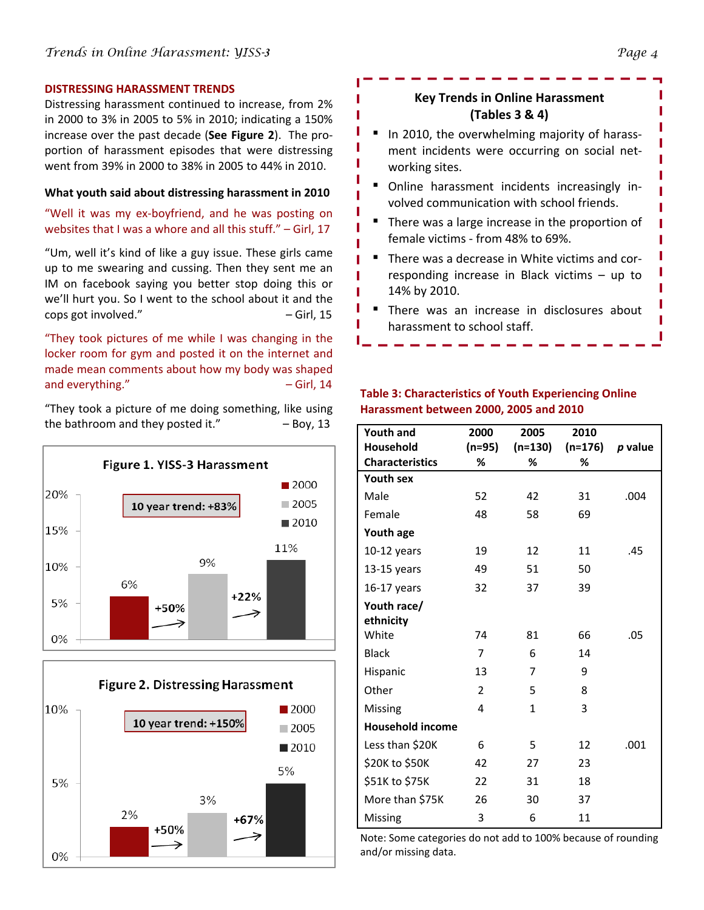#### **DISTRESSING HARASSMENT TRENDS**

Distressing harassment continued to increase, from 2% in 2000 to 3% in 2005 to 5% in 2010; indicating a 150% increase over the past decade (**See Figure 2**). The pro‐ portion of harassment episodes that were distressing went from 39% in 2000 to 38% in 2005 to 44% in 2010.

### **What youth said about distressing harassment in 2010**

## "Well it was my ex‐boyfriend, and he was posting on websites that I was a whore and all this stuff." – Girl, 17

"Um, well it's kind of like a guy issue. These girls came up to me swearing and cussing. Then they sent me an IM on facebook saying you better stop doing this or we'll hurt you. So I went to the school about it and the cops got involved." – Girl, 15

"They took pictures of me while I was changing in the locker room for gym and posted it on the internet and made mean comments about how my body was shaped and everything."  $-$  Girl, 14

"They took a picture of me doing something, like using the bathroom and they posted it."  $-$  Boy, 13





## **Key Trends in Online Harassment (Tables 3 & 4)**

- In 2010, the overwhelming majority of harassment incidents were occurring on social net‐ working sites.
- Online harassment incidents increasingly involved communication with school friends.
- **There was a large increase in the proportion of** female victims ‐ from 48% to 69%.
- There was a decrease in White victims and corresponding increase in Black victims – up to 14% by 2010.
- **There was an increase in disclosures about** harassment to school staff.

## **Table 3: Characteristics of Youth Experiencing Online Harassment between 2000, 2005 and 2010**

| <b>Youth and</b>        | 2000     | 2005         | 2010      |         |
|-------------------------|----------|--------------|-----------|---------|
| Household               | $(n=95)$ | $(n=130)$    | $(n=176)$ | p value |
| <b>Characteristics</b>  | ℅        | %            | %         |         |
| <b>Youth sex</b>        |          |              |           |         |
| Male                    | 52       | 42           | 31        | .004    |
| Female                  | 48       | 58           | 69        |         |
| Youth age               |          |              |           |         |
| $10-12$ years           | 19       | 12           | 11        | .45     |
| $13-15$ years           | 49       | 51           | 50        |         |
| $16-17$ years           | 32       | 37           | 39        |         |
| Youth race/             |          |              |           |         |
| ethnicity               |          |              |           |         |
| White                   | 74       | 81           | 66        | .05     |
| <b>Black</b>            | 7        | 6            | 14        |         |
| Hispanic                | 13       | 7            | 9         |         |
| Other                   | 2        | 5            | 8         |         |
| Missing                 | 4        | $\mathbf{1}$ | 3         |         |
| <b>Household income</b> |          |              |           |         |
| Less than \$20K         | 6        | 5            | 12        | .001    |
| \$20K to \$50K          | 42       | 27           | 23        |         |
| \$51K to \$75K          | 22       | 31           | 18        |         |
| More than \$75K         | 26       | 30           | 37        |         |
| Missing                 | 3        | 6            | 11        |         |

Note: Some categories do not add to 100% because of rounding and/or missing data.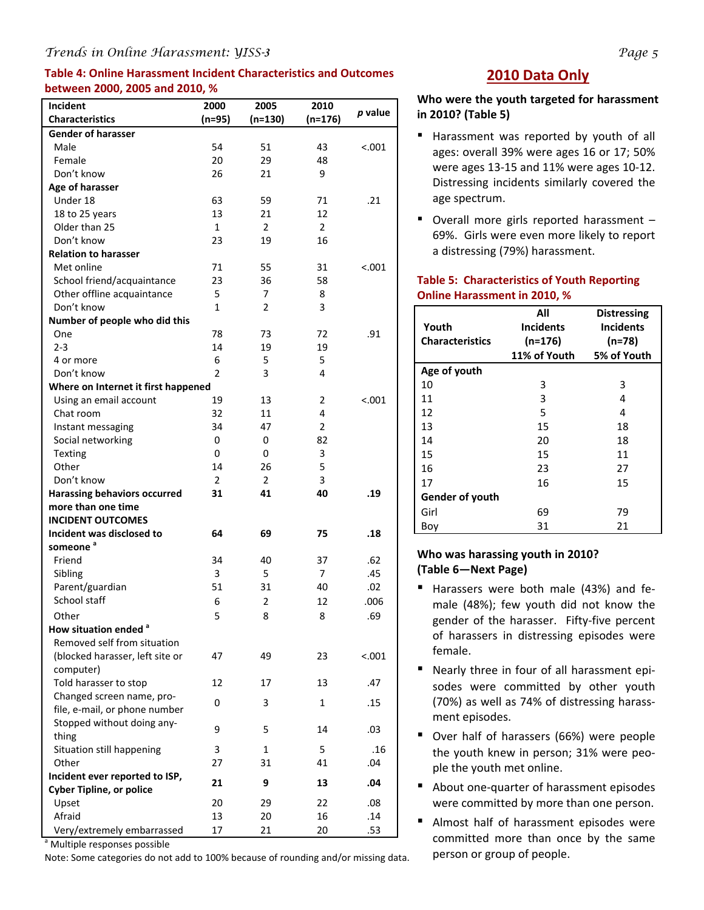## *Trends in Online Harassment: YISS-3 Page 5*

## **Table 4: Online Harassment Incident Characteristics and Outcomes between 2000, 2005 and 2010, %**

| p value<br><b>Characteristics</b><br>(n=95)<br>(n=130)<br>(n=176)<br><b>Gender of harasser</b><br>Male<br>54<br>51<br>< .001<br>43<br>Female<br>20<br>29<br>48<br>Don't know<br>26<br>21<br>9<br>Age of harasser<br>Under 18<br>59<br>.21<br>63<br>71<br>18 to 25 years<br>13<br>21<br>12<br>Older than 25<br>$\mathbf{1}$<br>$\overline{2}$<br>$\overline{2}$<br>Don't know<br>23<br>19<br>16<br><b>Relation to harasser</b><br>Met online<br>71<br>55<br>31<br>< 0.001<br>36<br>58<br>School friend/acquaintance<br>23<br>Other offline acquaintance<br>5<br>7<br>8<br>Don't know<br>$\overline{2}$<br>3<br>$\mathbf{1}$<br>Number of people who did this<br>78<br>.91<br>One<br>73<br>72<br>$2 - 3$<br>14<br>19<br>19<br>6<br>5<br>5<br>4 or more<br>$\overline{2}$<br>3<br>Don't know<br>4<br>Where on Internet it first happened<br>Using an email account<br>13<br>< .001<br>19<br>2<br>4<br>Chat room<br>32<br>11<br>34<br>47<br>2<br>Instant messaging<br>Social networking<br>0<br>0<br>82<br>0<br>0<br>3<br><b>Texting</b><br>5<br>Other<br>26<br>14<br>Don't know<br>$\overline{2}$<br>2<br>3<br><b>Harassing behaviors occurred</b><br>31<br>41<br>40<br>.19<br>more than one time<br><b>INCIDENT OUTCOMES</b><br>Incident was disclosed to<br>64<br>69<br>75<br>.18<br>someone <sup>a</sup> |
|----------------------------------------------------------------------------------------------------------------------------------------------------------------------------------------------------------------------------------------------------------------------------------------------------------------------------------------------------------------------------------------------------------------------------------------------------------------------------------------------------------------------------------------------------------------------------------------------------------------------------------------------------------------------------------------------------------------------------------------------------------------------------------------------------------------------------------------------------------------------------------------------------------------------------------------------------------------------------------------------------------------------------------------------------------------------------------------------------------------------------------------------------------------------------------------------------------------------------------------------------------------------------------------------------------|
|                                                                                                                                                                                                                                                                                                                                                                                                                                                                                                                                                                                                                                                                                                                                                                                                                                                                                                                                                                                                                                                                                                                                                                                                                                                                                                          |
|                                                                                                                                                                                                                                                                                                                                                                                                                                                                                                                                                                                                                                                                                                                                                                                                                                                                                                                                                                                                                                                                                                                                                                                                                                                                                                          |
|                                                                                                                                                                                                                                                                                                                                                                                                                                                                                                                                                                                                                                                                                                                                                                                                                                                                                                                                                                                                                                                                                                                                                                                                                                                                                                          |
|                                                                                                                                                                                                                                                                                                                                                                                                                                                                                                                                                                                                                                                                                                                                                                                                                                                                                                                                                                                                                                                                                                                                                                                                                                                                                                          |
|                                                                                                                                                                                                                                                                                                                                                                                                                                                                                                                                                                                                                                                                                                                                                                                                                                                                                                                                                                                                                                                                                                                                                                                                                                                                                                          |
|                                                                                                                                                                                                                                                                                                                                                                                                                                                                                                                                                                                                                                                                                                                                                                                                                                                                                                                                                                                                                                                                                                                                                                                                                                                                                                          |
|                                                                                                                                                                                                                                                                                                                                                                                                                                                                                                                                                                                                                                                                                                                                                                                                                                                                                                                                                                                                                                                                                                                                                                                                                                                                                                          |
|                                                                                                                                                                                                                                                                                                                                                                                                                                                                                                                                                                                                                                                                                                                                                                                                                                                                                                                                                                                                                                                                                                                                                                                                                                                                                                          |
|                                                                                                                                                                                                                                                                                                                                                                                                                                                                                                                                                                                                                                                                                                                                                                                                                                                                                                                                                                                                                                                                                                                                                                                                                                                                                                          |
|                                                                                                                                                                                                                                                                                                                                                                                                                                                                                                                                                                                                                                                                                                                                                                                                                                                                                                                                                                                                                                                                                                                                                                                                                                                                                                          |
|                                                                                                                                                                                                                                                                                                                                                                                                                                                                                                                                                                                                                                                                                                                                                                                                                                                                                                                                                                                                                                                                                                                                                                                                                                                                                                          |
|                                                                                                                                                                                                                                                                                                                                                                                                                                                                                                                                                                                                                                                                                                                                                                                                                                                                                                                                                                                                                                                                                                                                                                                                                                                                                                          |
|                                                                                                                                                                                                                                                                                                                                                                                                                                                                                                                                                                                                                                                                                                                                                                                                                                                                                                                                                                                                                                                                                                                                                                                                                                                                                                          |
|                                                                                                                                                                                                                                                                                                                                                                                                                                                                                                                                                                                                                                                                                                                                                                                                                                                                                                                                                                                                                                                                                                                                                                                                                                                                                                          |
|                                                                                                                                                                                                                                                                                                                                                                                                                                                                                                                                                                                                                                                                                                                                                                                                                                                                                                                                                                                                                                                                                                                                                                                                                                                                                                          |
|                                                                                                                                                                                                                                                                                                                                                                                                                                                                                                                                                                                                                                                                                                                                                                                                                                                                                                                                                                                                                                                                                                                                                                                                                                                                                                          |
|                                                                                                                                                                                                                                                                                                                                                                                                                                                                                                                                                                                                                                                                                                                                                                                                                                                                                                                                                                                                                                                                                                                                                                                                                                                                                                          |
|                                                                                                                                                                                                                                                                                                                                                                                                                                                                                                                                                                                                                                                                                                                                                                                                                                                                                                                                                                                                                                                                                                                                                                                                                                                                                                          |
|                                                                                                                                                                                                                                                                                                                                                                                                                                                                                                                                                                                                                                                                                                                                                                                                                                                                                                                                                                                                                                                                                                                                                                                                                                                                                                          |
|                                                                                                                                                                                                                                                                                                                                                                                                                                                                                                                                                                                                                                                                                                                                                                                                                                                                                                                                                                                                                                                                                                                                                                                                                                                                                                          |
|                                                                                                                                                                                                                                                                                                                                                                                                                                                                                                                                                                                                                                                                                                                                                                                                                                                                                                                                                                                                                                                                                                                                                                                                                                                                                                          |
|                                                                                                                                                                                                                                                                                                                                                                                                                                                                                                                                                                                                                                                                                                                                                                                                                                                                                                                                                                                                                                                                                                                                                                                                                                                                                                          |
|                                                                                                                                                                                                                                                                                                                                                                                                                                                                                                                                                                                                                                                                                                                                                                                                                                                                                                                                                                                                                                                                                                                                                                                                                                                                                                          |
|                                                                                                                                                                                                                                                                                                                                                                                                                                                                                                                                                                                                                                                                                                                                                                                                                                                                                                                                                                                                                                                                                                                                                                                                                                                                                                          |
|                                                                                                                                                                                                                                                                                                                                                                                                                                                                                                                                                                                                                                                                                                                                                                                                                                                                                                                                                                                                                                                                                                                                                                                                                                                                                                          |
|                                                                                                                                                                                                                                                                                                                                                                                                                                                                                                                                                                                                                                                                                                                                                                                                                                                                                                                                                                                                                                                                                                                                                                                                                                                                                                          |
|                                                                                                                                                                                                                                                                                                                                                                                                                                                                                                                                                                                                                                                                                                                                                                                                                                                                                                                                                                                                                                                                                                                                                                                                                                                                                                          |
|                                                                                                                                                                                                                                                                                                                                                                                                                                                                                                                                                                                                                                                                                                                                                                                                                                                                                                                                                                                                                                                                                                                                                                                                                                                                                                          |
|                                                                                                                                                                                                                                                                                                                                                                                                                                                                                                                                                                                                                                                                                                                                                                                                                                                                                                                                                                                                                                                                                                                                                                                                                                                                                                          |
|                                                                                                                                                                                                                                                                                                                                                                                                                                                                                                                                                                                                                                                                                                                                                                                                                                                                                                                                                                                                                                                                                                                                                                                                                                                                                                          |
|                                                                                                                                                                                                                                                                                                                                                                                                                                                                                                                                                                                                                                                                                                                                                                                                                                                                                                                                                                                                                                                                                                                                                                                                                                                                                                          |
|                                                                                                                                                                                                                                                                                                                                                                                                                                                                                                                                                                                                                                                                                                                                                                                                                                                                                                                                                                                                                                                                                                                                                                                                                                                                                                          |
| Friend<br>34<br>.62<br>40<br>37                                                                                                                                                                                                                                                                                                                                                                                                                                                                                                                                                                                                                                                                                                                                                                                                                                                                                                                                                                                                                                                                                                                                                                                                                                                                          |
| 3<br>5<br>.45<br>Sibling<br>7                                                                                                                                                                                                                                                                                                                                                                                                                                                                                                                                                                                                                                                                                                                                                                                                                                                                                                                                                                                                                                                                                                                                                                                                                                                                            |
| Parent/guardian<br>51<br>31<br>40<br>.02                                                                                                                                                                                                                                                                                                                                                                                                                                                                                                                                                                                                                                                                                                                                                                                                                                                                                                                                                                                                                                                                                                                                                                                                                                                                 |
| School staff<br>6<br>2<br>12<br>.006                                                                                                                                                                                                                                                                                                                                                                                                                                                                                                                                                                                                                                                                                                                                                                                                                                                                                                                                                                                                                                                                                                                                                                                                                                                                     |
| Other<br>5<br>.69<br>8<br>8                                                                                                                                                                                                                                                                                                                                                                                                                                                                                                                                                                                                                                                                                                                                                                                                                                                                                                                                                                                                                                                                                                                                                                                                                                                                              |
| How situation ended <sup>a</sup>                                                                                                                                                                                                                                                                                                                                                                                                                                                                                                                                                                                                                                                                                                                                                                                                                                                                                                                                                                                                                                                                                                                                                                                                                                                                         |
| Removed self from situation                                                                                                                                                                                                                                                                                                                                                                                                                                                                                                                                                                                                                                                                                                                                                                                                                                                                                                                                                                                                                                                                                                                                                                                                                                                                              |
| (blocked harasser, left site or<br>< .001<br>47<br>49<br>23                                                                                                                                                                                                                                                                                                                                                                                                                                                                                                                                                                                                                                                                                                                                                                                                                                                                                                                                                                                                                                                                                                                                                                                                                                              |
| computer)                                                                                                                                                                                                                                                                                                                                                                                                                                                                                                                                                                                                                                                                                                                                                                                                                                                                                                                                                                                                                                                                                                                                                                                                                                                                                                |
| Told harasser to stop<br>12<br>17<br>13<br>.47                                                                                                                                                                                                                                                                                                                                                                                                                                                                                                                                                                                                                                                                                                                                                                                                                                                                                                                                                                                                                                                                                                                                                                                                                                                           |
| Changed screen name, pro-                                                                                                                                                                                                                                                                                                                                                                                                                                                                                                                                                                                                                                                                                                                                                                                                                                                                                                                                                                                                                                                                                                                                                                                                                                                                                |
| 0<br>3<br>1<br>.15<br>file, e-mail, or phone number                                                                                                                                                                                                                                                                                                                                                                                                                                                                                                                                                                                                                                                                                                                                                                                                                                                                                                                                                                                                                                                                                                                                                                                                                                                      |
| Stopped without doing any-                                                                                                                                                                                                                                                                                                                                                                                                                                                                                                                                                                                                                                                                                                                                                                                                                                                                                                                                                                                                                                                                                                                                                                                                                                                                               |
| 9<br>5<br>14<br>.03<br>thing                                                                                                                                                                                                                                                                                                                                                                                                                                                                                                                                                                                                                                                                                                                                                                                                                                                                                                                                                                                                                                                                                                                                                                                                                                                                             |
| 3<br>5<br>.16<br>Situation still happening<br>1                                                                                                                                                                                                                                                                                                                                                                                                                                                                                                                                                                                                                                                                                                                                                                                                                                                                                                                                                                                                                                                                                                                                                                                                                                                          |
| .04<br>Other<br>31<br>41<br>27                                                                                                                                                                                                                                                                                                                                                                                                                                                                                                                                                                                                                                                                                                                                                                                                                                                                                                                                                                                                                                                                                                                                                                                                                                                                           |
| Incident ever reported to ISP,                                                                                                                                                                                                                                                                                                                                                                                                                                                                                                                                                                                                                                                                                                                                                                                                                                                                                                                                                                                                                                                                                                                                                                                                                                                                           |
| 9<br>.04<br>21<br>13<br><b>Cyber Tipline, or police</b>                                                                                                                                                                                                                                                                                                                                                                                                                                                                                                                                                                                                                                                                                                                                                                                                                                                                                                                                                                                                                                                                                                                                                                                                                                                  |
| Upset<br>20<br>29<br>22<br>.08                                                                                                                                                                                                                                                                                                                                                                                                                                                                                                                                                                                                                                                                                                                                                                                                                                                                                                                                                                                                                                                                                                                                                                                                                                                                           |
| Afraid<br>.14<br>13<br>20<br>16                                                                                                                                                                                                                                                                                                                                                                                                                                                                                                                                                                                                                                                                                                                                                                                                                                                                                                                                                                                                                                                                                                                                                                                                                                                                          |
| Very/extremely embarrassed<br>17<br>21<br>20<br>.53                                                                                                                                                                                                                                                                                                                                                                                                                                                                                                                                                                                                                                                                                                                                                                                                                                                                                                                                                                                                                                                                                                                                                                                                                                                      |

Multiple responses possible

Note: Some categories do not add to 100% because of rounding and/or missing data.

## **2010 Data Only**

## **Who were the youth targeted for harassment in 2010? (Table 5)**

- Harassment was reported by youth of all ages: overall 39% were ages 16 or 17; 50% were ages 13‐15 and 11% were ages 10‐12. Distressing incidents similarly covered the age spectrum.
- Overall more girls reported harassment 69%. Girls were even more likely to report a distressing (79%) harassment.

| Youth<br><b>Characteristics</b> | All<br><b>Incidents</b><br>(n=176)<br>11% of Youth | <b>Distressing</b><br><b>Incidents</b><br>$(n=78)$<br>5% of Youth |
|---------------------------------|----------------------------------------------------|-------------------------------------------------------------------|
| Age of youth                    |                                                    |                                                                   |
| 10                              | 3                                                  | 3                                                                 |
| 11                              | 3                                                  | 4                                                                 |
| 12                              | 5                                                  | 4                                                                 |
| 13                              | 15                                                 | 18                                                                |
| 14                              | 20                                                 | 18                                                                |
| 15                              | 15                                                 | 11                                                                |
| 16                              | 23                                                 | 27                                                                |
| 17                              | 16                                                 | 15                                                                |
| Gender of youth                 |                                                    |                                                                   |
| Girl                            | 69                                                 | 79                                                                |
| Boy                             | 31                                                 | 21                                                                |

## **Table 5: Characteristics of Youth Reporting Online Harassment in 2010, %**

## **Who was harassing youth in 2010? (Table 6—Next Page)**

- Harassers were both male (43%) and female (48%); few youth did not know the gender of the harasser. Fifty-five percent of harassers in distressing episodes were female.
- Nearly three in four of all harassment episodes were committed by other youth (70%) as well as 74% of distressing harass‐ ment episodes.
- Over half of harassers (66%) were people the youth knew in person; 31% were peo‐ ple the youth met online.
- About one-quarter of harassment episodes were committed by more than one person.
- Almost half of harassment episodes were committed more than once by the same person or group of people.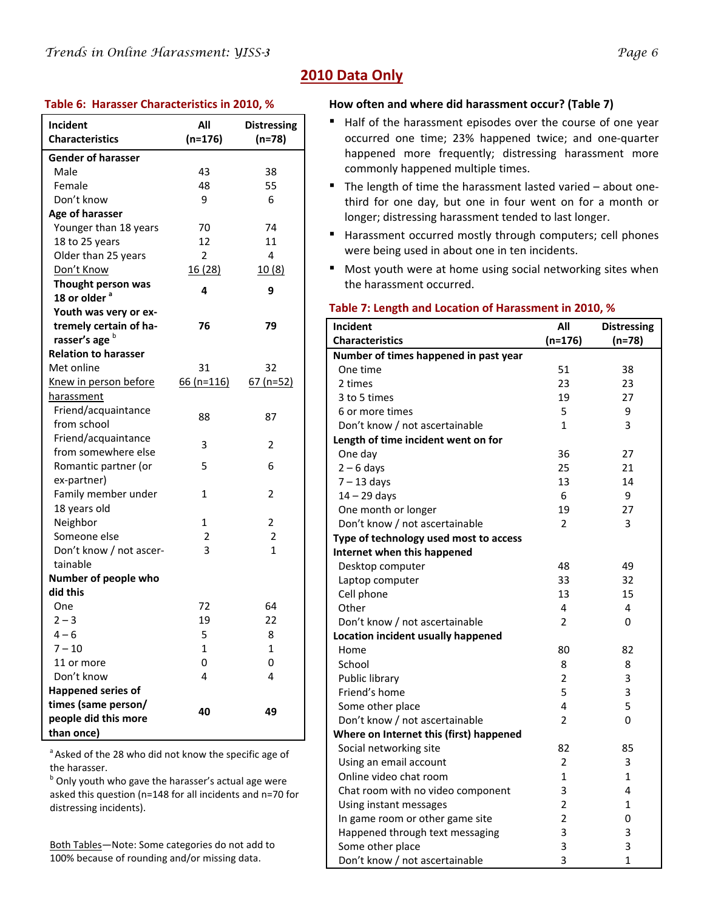| Incident                    | All            | <b>Distressing</b> |
|-----------------------------|----------------|--------------------|
| <b>Characteristics</b>      | $(n=176)$      | $(n=78)$           |
| <b>Gender of harasser</b>   |                |                    |
| Male                        | 43             | 38                 |
| Female                      | 48             | 55                 |
| Don't know                  | 9              | 6                  |
| Age of harasser             |                |                    |
| Younger than 18 years       | 70             | 74                 |
| 18 to 25 years              | 12             | 11                 |
| Older than 25 years         | 2              | 4                  |
| Don't Know                  | 16(28)         | 10(8)              |
| Thought person was          | 4              | 9                  |
| 18 or older <sup>a</sup>    |                |                    |
| Youth was very or ex-       |                |                    |
| tremely certain of ha-      | 76             | 79                 |
| rasser's age b              |                |                    |
| <b>Relation to harasser</b> |                |                    |
| Met online                  | 31             | 32                 |
| Knew in person before       | $66(n=116)$    | $67$ (n=52)        |
| harassment                  |                |                    |
| Friend/acquaintance         | 88             | 87                 |
| from school                 |                |                    |
| Friend/acquaintance         | 3              | 2                  |
| from somewhere else         |                |                    |
| Romantic partner (or        | 5              | 6                  |
| ex-partner)                 |                |                    |
| Family member under         | 1              | 2                  |
| 18 years old                |                |                    |
| Neighbor                    | 1              | 2                  |
| Someone else                | 2              | 2                  |
| Don't know / not ascer-     | 3              | 1                  |
| tainable                    |                |                    |
| Number of people who        |                |                    |
| did this                    |                |                    |
| One                         | 72             | 64                 |
| $2 - 3$                     | 19             | 22                 |
| $4 - 6$                     | 5              | 8                  |
| $7 - 10$<br>11 or more      | $\overline{1}$ | $\mathbf 1$        |
|                             | 0<br>4         | 0                  |
| Don't know                  |                | 4                  |
| <b>Happened series of</b>   |                |                    |
| times (same person/         | 40             | 49                 |
| people did this more        |                |                    |
| than once)                  |                |                    |

<sup>a</sup> Asked of the 28 who did not know the specific age of the harasser.

<sup>b</sup> Only youth who gave the harasser's actual age were asked this question (n=148 for all incidents and n=70 for distressing incidents).

Both Tables—Note: Some categories do not add to 100% because of rounding and/or missing data.

## **2010 Data Only**

## **Table 6: Harasser Characteristics in 2010, % How often and where did harassment occur? (Table 7)**

- Half of the harassment episodes over the course of one year occurred one time; 23% happened twice; and one‐quarter happened more frequently; distressing harassment more commonly happened multiple times.
- The length of time the harassment lasted varied about onethird for one day, but one in four went on for a month or longer; distressing harassment tended to last longer.
- Harassment occurred mostly through computers; cell phones were being used in about one in ten incidents.
- Most youth were at home using social networking sites when the harassment occurred.

| rable 7. Length and Location or Harassment in 2010, 76<br>Incident<br>All<br><b>Distressing</b> |                |              |  |  |
|-------------------------------------------------------------------------------------------------|----------------|--------------|--|--|
| <b>Characteristics</b>                                                                          | $(n=176)$      | $(n=78)$     |  |  |
| Number of times happened in past year                                                           |                |              |  |  |
| One time                                                                                        | 51             | 38           |  |  |
| 2 times                                                                                         | 23             | 23           |  |  |
| 3 to 5 times                                                                                    | 19             | 27           |  |  |
| 6 or more times                                                                                 | 5              | 9            |  |  |
| Don't know / not ascertainable                                                                  | $\mathbf{1}$   | 3            |  |  |
| Length of time incident went on for                                                             |                |              |  |  |
| One day                                                                                         | 36             | 27           |  |  |
| $2 - 6$ days                                                                                    | 25             | 21           |  |  |
| $7 - 13$ days                                                                                   | 13             | 14           |  |  |
| $14 - 29$ days                                                                                  | 6              | 9            |  |  |
| One month or longer                                                                             | 19             | 27           |  |  |
| Don't know / not ascertainable                                                                  | 2              | 3            |  |  |
| Type of technology used most to access                                                          |                |              |  |  |
| Internet when this happened                                                                     |                |              |  |  |
| Desktop computer                                                                                | 48             | 49           |  |  |
| Laptop computer                                                                                 | 33             | 32           |  |  |
| Cell phone                                                                                      | 13             | 15           |  |  |
| Other                                                                                           | 4              | 4            |  |  |
| Don't know / not ascertainable                                                                  | $\overline{2}$ | $\mathbf{0}$ |  |  |
| Location incident usually happened                                                              |                |              |  |  |
| Home                                                                                            | 80             | 82           |  |  |
| School                                                                                          | 8              | 8            |  |  |
| Public library                                                                                  | $\overline{2}$ | 3            |  |  |
| Friend's home                                                                                   | 5              | 3            |  |  |
| Some other place                                                                                | 4              | 5            |  |  |
| Don't know / not ascertainable                                                                  | $\overline{2}$ | 0            |  |  |
| Where on Internet this (first) happened                                                         |                |              |  |  |
| Social networking site                                                                          | 82             | 85           |  |  |
| Using an email account                                                                          | $\overline{2}$ | 3            |  |  |
| Online video chat room                                                                          | 1              | $\mathbf{1}$ |  |  |
| Chat room with no video component                                                               | 3              | 4            |  |  |
| Using instant messages                                                                          | 2              | 1            |  |  |
| In game room or other game site                                                                 | $\overline{2}$ | 0            |  |  |
| Happened through text messaging                                                                 | 3              | 3            |  |  |
| Some other place                                                                                | 3              | 3            |  |  |
| Don't know / not ascertainable                                                                  | 3              | $\mathbf{1}$ |  |  |
|                                                                                                 |                |              |  |  |

## **Table 7: Length and Location of Harassment in 2010, %**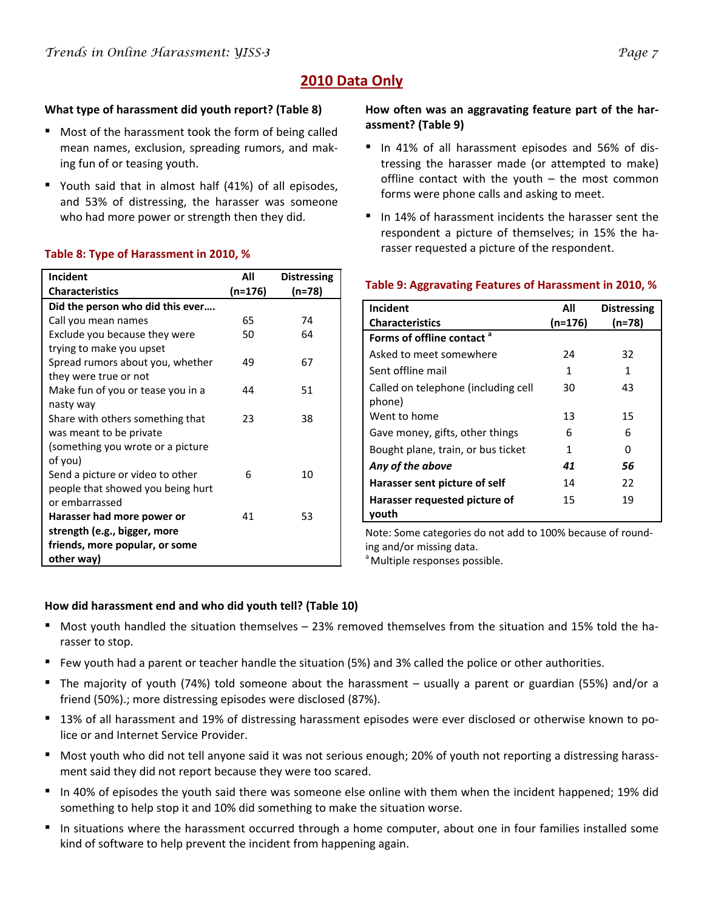## **2010 Data Only**

## **What type of harassment did youth report? (Table 8)**

- Most of the harassment took the form of being called mean names, exclusion, spreading rumors, and mak‐ ing fun of or teasing youth.
- Youth said that in almost half (41%) of all episodes, and 53% of distressing, the harasser was someone who had more power or strength then they did.

## **Table 8: Type of Harassment in 2010, %**

| Incident                          | All     | <b>Distressing</b> |
|-----------------------------------|---------|--------------------|
| <b>Characteristics</b>            | (n=176) | (n=78)             |
| Did the person who did this ever  |         |                    |
| Call you mean names               | 65      | 74                 |
| Exclude you because they were     | 50      | 64                 |
| trying to make you upset          |         |                    |
| Spread rumors about you, whether  | 49      | 67                 |
| they were true or not             |         |                    |
| Make fun of you or tease you in a | 44      | 51                 |
| nasty way                         |         |                    |
| Share with others something that  | 23      | 38                 |
| was meant to be private           |         |                    |
| (something you wrote or a picture |         |                    |
| of you)                           |         |                    |
| Send a picture or video to other  | 6       | 10                 |
| people that showed you being hurt |         |                    |
| or embarrassed                    |         |                    |
| Harasser had more power or        | 41      | 53                 |
| strength (e.g., bigger, more      |         |                    |
| friends, more popular, or some    |         |                    |
| other way)                        |         |                    |

## **How often was an aggravating feature part of the har‐ assment? (Table 9)**

- In 41% of all harassment episodes and 56% of distressing the harasser made (or attempted to make) offline contact with the youth – the most common forms were phone calls and asking to meet.
- In 14% of harassment incidents the harasser sent the respondent a picture of themselves; in 15% the harasser requested a picture of the respondent.

| Incident                                      | All     | <b>Distressing</b> |
|-----------------------------------------------|---------|--------------------|
| <b>Characteristics</b>                        | (n=176) | $(n=78)$           |
| Forms of offline contact <sup>a</sup>         |         |                    |
| Asked to meet somewhere                       | 24      | 32                 |
| Sent offline mail                             | 1       | 1                  |
| Called on telephone (including cell<br>phone) | 30      | 43                 |
| Went to home                                  | 13      | 15                 |
| Gave money, gifts, other things               | 6       | 6                  |
| Bought plane, train, or bus ticket            | 1       | ი                  |
| Any of the above                              | 41      | 56                 |
| Harasser sent picture of self                 | 14      | 22                 |
| Harasser requested picture of<br>vouth        | 15      | 19                 |

## **Table 9: Aggravating Features of Harassment in 2010, %**

Note: Some categories do not add to 100% because of round‐ ing and/or missing data.

<sup>a</sup> Multiple responses possible.

## **How did harassment end and who did youth tell? (Table 10)**

- Most youth handled the situation themselves 23% removed themselves from the situation and 15% told the harasser to stop.
- Few youth had a parent or teacher handle the situation (5%) and 3% called the police or other authorities.
- The majority of youth (74%) told someone about the harassment usually a parent or guardian (55%) and/or a friend (50%).; more distressing episodes were disclosed (87%).
- 13% of all harassment and 19% of distressing harassment episodes were ever disclosed or otherwise known to police or and Internet Service Provider.
- Most youth who did not tell anyone said it was not serious enough; 20% of youth not reporting a distressing harassment said they did not report because they were too scared.
- In 40% of episodes the youth said there was someone else online with them when the incident happened; 19% did something to help stop it and 10% did something to make the situation worse.
- In situations where the harassment occurred through a home computer, about one in four families installed some kind of software to help prevent the incident from happening again.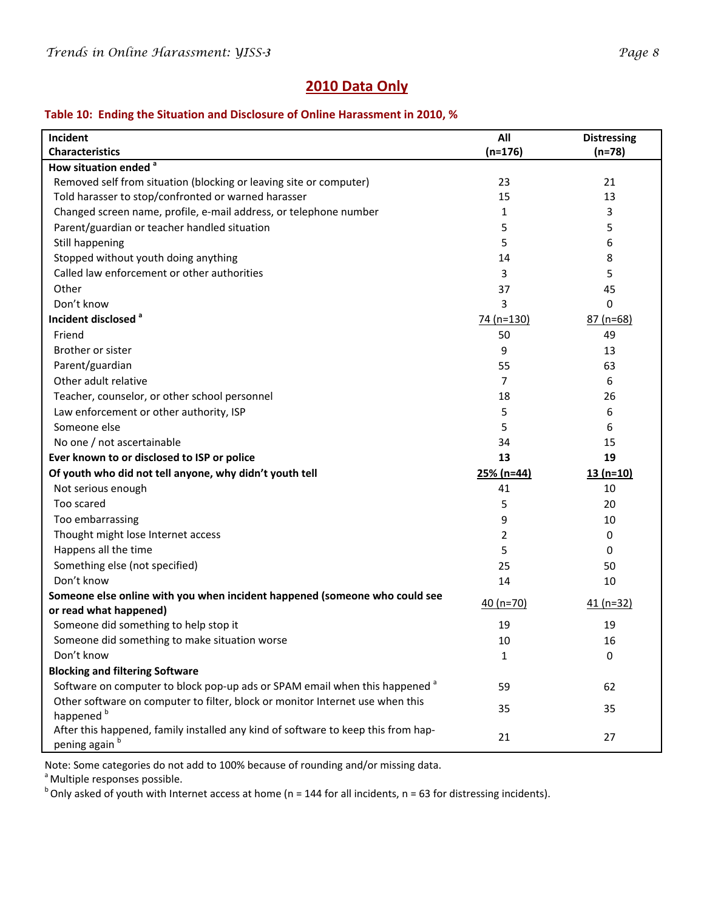## **2010 Data Only**

## **Table 10: Ending the Situation and Disclosure of Online Harassment in 2010, %**

| Incident                                                                                               | All            | <b>Distressing</b> |
|--------------------------------------------------------------------------------------------------------|----------------|--------------------|
| <b>Characteristics</b>                                                                                 | $(n=176)$      | $(n=78)$           |
| How situation ended <sup>a</sup>                                                                       |                |                    |
| Removed self from situation (blocking or leaving site or computer)                                     | 23             | 21                 |
| Told harasser to stop/confronted or warned harasser                                                    | 15             | 13                 |
| Changed screen name, profile, e-mail address, or telephone number                                      | 1              | 3                  |
| Parent/guardian or teacher handled situation                                                           | 5              | 5                  |
| Still happening                                                                                        | 5              | 6                  |
| Stopped without youth doing anything                                                                   | 14             | 8                  |
| Called law enforcement or other authorities                                                            | 3              | 5                  |
| Other                                                                                                  | 37             | 45                 |
| Don't know                                                                                             | 3              | 0                  |
| Incident disclosed <sup>a</sup>                                                                        | 74 (n=130)     | $87(n=68)$         |
| Friend                                                                                                 | 50             | 49                 |
| Brother or sister                                                                                      | 9              | 13                 |
| Parent/guardian                                                                                        | 55             | 63                 |
| Other adult relative                                                                                   | 7              | 6                  |
| Teacher, counselor, or other school personnel                                                          | 18             | 26                 |
| Law enforcement or other authority, ISP                                                                | 5              | 6                  |
| Someone else                                                                                           | 5              | 6                  |
| No one / not ascertainable                                                                             | 34             | 15                 |
| Ever known to or disclosed to ISP or police                                                            | 13             | 19                 |
| Of youth who did not tell anyone, why didn't youth tell                                                | $25% (n=44)$   | $13(n=10)$         |
| Not serious enough                                                                                     | 41             | 10                 |
| Too scared                                                                                             | 5              | 20                 |
| Too embarrassing                                                                                       | 9              | 10                 |
| Thought might lose Internet access                                                                     | $\overline{2}$ | 0                  |
| Happens all the time                                                                                   | 5              | 0                  |
| Something else (not specified)                                                                         | 25             | 50                 |
| Don't know                                                                                             | 14             | 10                 |
| Someone else online with you when incident happened (someone who could see                             | 40 $(n=70)$    | $41 (n=32)$        |
| or read what happened)                                                                                 |                |                    |
| Someone did something to help stop it                                                                  | 19             | 19                 |
| Someone did something to make situation worse                                                          | 10             | 16                 |
| Don't know                                                                                             | 1              | 0                  |
| <b>Blocking and filtering Software</b>                                                                 |                |                    |
| Software on computer to block pop-up ads or SPAM email when this happened <sup>a</sup>                 | 59             | 62                 |
| Other software on computer to filter, block or monitor Internet use when this<br>happened <sup>b</sup> | 35             | 35                 |
| After this happened, family installed any kind of software to keep this from hap-<br>pening again b    | 21             | 27                 |

Note: Some categories do not add to 100% because of rounding and/or missing data.

<sup>a</sup> Multiple responses possible.

 $b$ Only asked of youth with Internet access at home (n = 144 for all incidents, n = 63 for distressing incidents).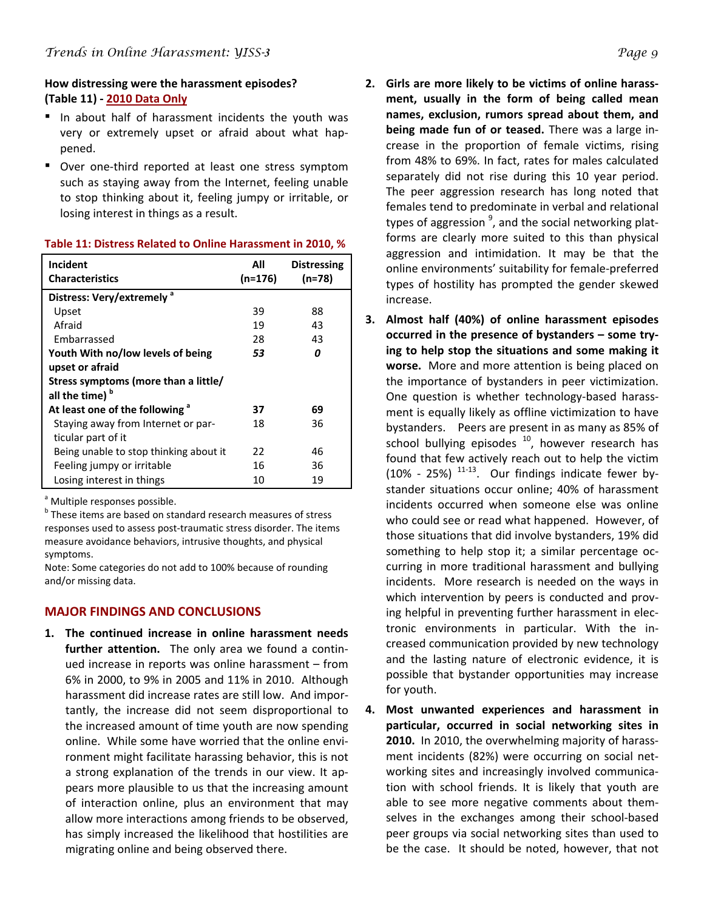## **How distressing were the harassment episodes? (Table 11) ‐ 2010 Data Only**

- In about half of harassment incidents the youth was very or extremely upset or afraid about what hap‐ pened.
- Over one-third reported at least one stress symptom such as staying away from the Internet, feeling unable to stop thinking about it, feeling jumpy or irritable, or losing interest in things as a result.

| Incident                                   | All       | <b>Distressing</b> |
|--------------------------------------------|-----------|--------------------|
| <b>Characteristics</b>                     | $(n=176)$ | $(n=78)$           |
| Distress: Very/extremely <sup>a</sup>      |           |                    |
| Upset                                      | 39        | 88                 |
| Afraid                                     | 19        | 43                 |
| Embarrassed                                | 28        | 43                 |
| Youth With no/low levels of being          | 53        | 0                  |
| upset or afraid                            |           |                    |
| Stress symptoms (more than a little/       |           |                    |
| all the time) <sup>b</sup>                 |           |                    |
| At least one of the following <sup>a</sup> | 37        | 69                 |
| Staying away from Internet or par-         | 18        | 36                 |
| ticular part of it                         |           |                    |
| Being unable to stop thinking about it     | 22        | 46                 |
| Feeling jumpy or irritable                 | 16        | 36                 |
| Losing interest in things                  | 10        | 19                 |
|                                            |           |                    |

#### **Table 11: Distress Related to Online Harassment in 2010, %**

<sup>a</sup> Multiple responses possible.

**b** These items are based on standard research measures of stress responses used to assess post-traumatic stress disorder. The items measure avoidance behaviors, intrusive thoughts, and physical symptoms.

Note: Some categories do not add to 100% because of rounding and/or missing data.

## **MAJOR FINDINGS AND CONCLUSIONS**

**1. The continued increase in online harassment needs further attention.** The only area we found a continued increase in reports was online harassment – from 6% in 2000, to 9% in 2005 and 11% in 2010. Although harassment did increase rates are still low. And impor‐ tantly, the increase did not seem disproportional to the increased amount of time youth are now spending online. While some have worried that the online envi‐ ronment might facilitate harassing behavior, this is not a strong explanation of the trends in our view. It ap‐ pears more plausible to us that the increasing amount of interaction online, plus an environment that may allow more interactions among friends to be observed, has simply increased the likelihood that hostilities are migrating online and being observed there.

- **2. Girls are more likely to be victims of online harass‐ ment, usually in the form of being called mean names, exclusion, rumors spread about them, and being made fun of or teased.** There was a large in‐ crease in the proportion of female victims, rising from 48% to 69%. In fact, rates for males calculated separately did not rise during this 10 year period. The peer aggression research has long noted that females tend to predominate in verbal and relational types of aggression <sup>9</sup>, and the social networking platforms are clearly more suited to this than physical aggression and intimidation. It may be that the online environments' suitability for female‐preferred types of hostility has prompted the gender skewed increase.
- **3. Almost half (40%) of online harassment episodes occurred in the presence of bystanders – some try‐ ing to help stop the situations and some making it worse.** More and more attention is being placed on the importance of bystanders in peer victimization. One question is whether technology‐based harass‐ ment is equally likely as offline victimization to have bystanders. Peers are present in as many as 85% of school bullying episodes  $10$ , however research has found that few actively reach out to help the victim  $(10\% - 25\%)$ <sup>11-13</sup>. Our findings indicate fewer bystander situations occur online; 40% of harassment incidents occurred when someone else was online who could see or read what happened. However, of those situations that did involve bystanders, 19% did something to help stop it; a similar percentage oc‐ curring in more traditional harassment and bullying incidents. More research is needed on the ways in which intervention by peers is conducted and proving helpful in preventing further harassment in elec‐ tronic environments in particular. With the in‐ creased communication provided by new technology and the lasting nature of electronic evidence, it is possible that bystander opportunities may increase for youth.
- **4. Most unwanted experiences and harassment in particular, occurred in social networking sites in 2010.** In 2010, the overwhelming majority of harass‐ ment incidents (82%) were occurring on social net‐ working sites and increasingly involved communication with school friends. It is likely that youth are able to see more negative comments about them‐ selves in the exchanges among their school‐based peer groups via social networking sites than used to be the case. It should be noted, however, that not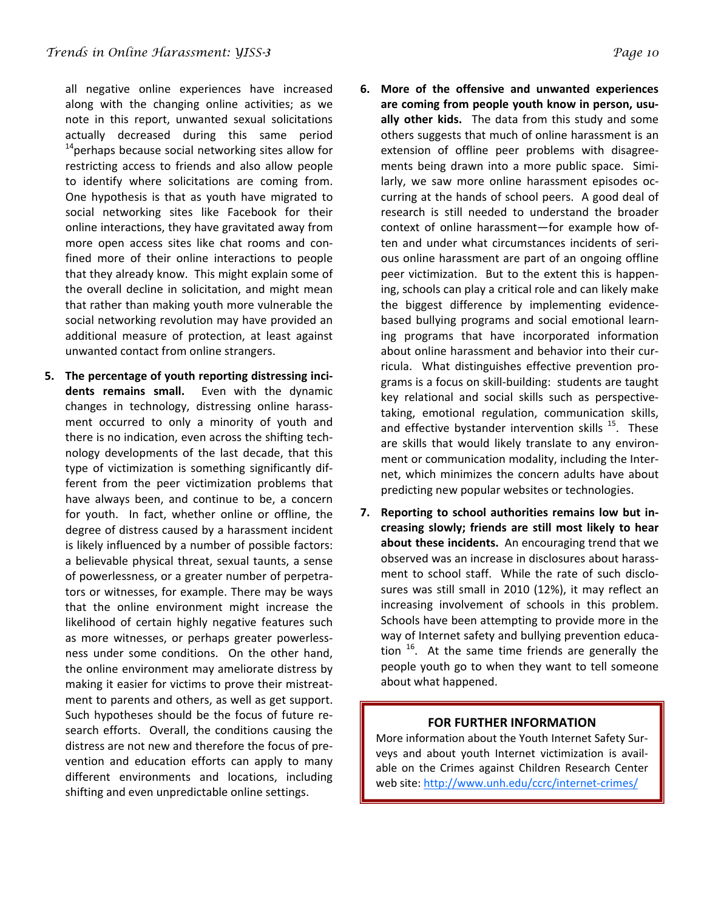all negative online experiences have increased along with the changing online activities; as we note in this report, unwanted sexual solicitations actually decreased during this same period  $14$ perhaps because social networking sites allow for restricting access to friends and also allow people to identify where solicitations are coming from. One hypothesis is that as youth have migrated to social networking sites like Facebook for their online interactions, they have gravitated away from more open access sites like chat rooms and con‐ fined more of their online interactions to people that they already know. This might explain some of the overall decline in solicitation, and might mean that rather than making youth more vulnerable the social networking revolution may have provided an additional measure of protection, at least against unwanted contact from online strangers.

**5. The percentage of youth reporting distressing inci‐ dents remains small.**  Even with the dynamic changes in technology, distressing online harass‐ ment occurred to only a minority of youth and there is no indication, even across the shifting tech‐ nology developments of the last decade, that this type of victimization is something significantly dif‐ ferent from the peer victimization problems that have always been, and continue to be, a concern for youth. In fact, whether online or offline, the degree of distress caused by a harassment incident is likely influenced by a number of possible factors: a believable physical threat, sexual taunts, a sense of powerlessness, or a greater number of perpetra‐ tors or witnesses, for example. There may be ways that the online environment might increase the likelihood of certain highly negative features such as more witnesses, or perhaps greater powerless‐ ness under some conditions. On the other hand, the online environment may ameliorate distress by making it easier for victims to prove their mistreat‐ ment to parents and others, as well as get support. Such hypotheses should be the focus of future re‐ search efforts. Overall, the conditions causing the distress are not new and therefore the focus of pre‐ vention and education efforts can apply to many different environments and locations, including shifting and even unpredictable online settings.

- **6. More of the offensive and unwanted experiences are coming from people youth know in person, usu‐ ally other kids.**  The data from this study and some others suggests that much of online harassment is an extension of offline peer problems with disagree‐ ments being drawn into a more public space. Similarly, we saw more online harassment episodes oc‐ curring at the hands of school peers. A good deal of research is still needed to understand the broader context of online harassment—for example how of‐ ten and under what circumstances incidents of seri‐ ous online harassment are part of an ongoing offline peer victimization. But to the extent this is happen‐ ing, schools can play a critical role and can likely make the biggest difference by implementing evidence‐ based bullying programs and social emotional learn‐ ing programs that have incorporated information about online harassment and behavior into their cur‐ ricula. What distinguishes effective prevention pro‐ grams is a focus on skill‐building: students are taught key relational and social skills such as perspective‐ taking, emotional regulation, communication skills, and effective bystander intervention skills  $15$ . These are skills that would likely translate to any environ‐ ment or communication modality, including the Internet, which minimizes the concern adults have about predicting new popular websites or technologies.
- **7. Reporting to school authorities remains low but in‐ creasing slowly; friends are still most likely to hear about these incidents.** An encouraging trend that we observed was an increase in disclosures about harass‐ ment to school staff. While the rate of such disclosures was still small in 2010 (12%), it may reflect an increasing involvement of schools in this problem. Schools have been attempting to provide more in the way of Internet safety and bullying prevention education  $16$ . At the same time friends are generally the people youth go to when they want to tell someone about what happened.

## **FOR FURTHER INFORMATION**

More information about the Youth Internet Safety Sur‐ veys and about youth Internet victimization is avail‐ able on the Crimes against Children Research Center web site: [http://www.unh.edu/ccrc/internet](http://www.unh.edu/ccrc/internet-crimes/)‐crimes/